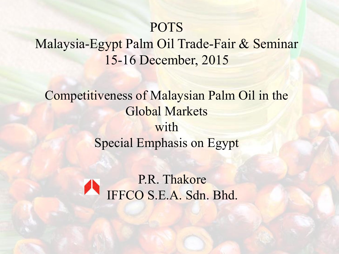### POTS

### Malaysia-Egypt Palm Oil Trade-Fair & Seminar 15-16 December, 2015

Competitiveness of Malaysian Palm Oil in the Global Markets with Special Emphasis on Egypt

> P.R. Thakore IFFCO S.E.A. Sdn. Bhd.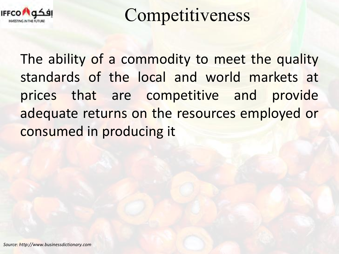

Competitiveness

The ability of a commodity to meet the quality standards of the local and world markets at prices that are competitive and provide adequate returns on the resources employed or consumed in producing it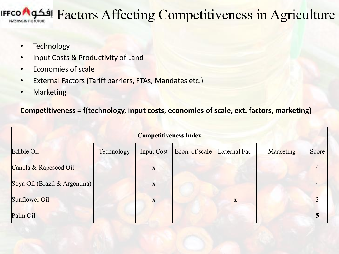## Factors Affecting Competitiveness in Agriculture

- Technology
- Input Costs & Productivity of Land
- Economies of scale
- External Factors (Tariff barriers, FTAs, Mandates etc.)
- Marketing

### **Competitiveness = f(technology, input costs, economies of scale, ext. factors, marketing)**

| <b>Competitiveness Index</b>  |            |                   |                |               |           |       |  |
|-------------------------------|------------|-------------------|----------------|---------------|-----------|-------|--|
| Edible Oil                    | Technology | <b>Input Cost</b> | Econ. of scale | External Fac. | Marketing | Score |  |
| Canola & Rapeseed Oil         |            | X                 |                |               |           |       |  |
| Soya Oil (Brazil & Argentina) |            | X                 |                |               |           |       |  |
| Sunflower Oil                 |            | X                 |                | X             |           |       |  |
| Palm Oil                      |            |                   |                |               |           |       |  |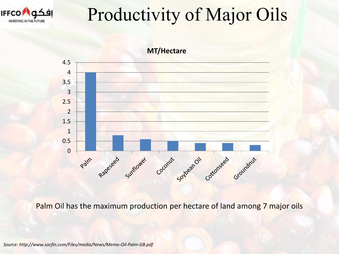

# Productivity of Major Oils



Palm Oil has the maximum production per hectare of land among 7 major oils

*Source: http://www.socfin.com/Files/media/News/Memo-Oil-Palm-GB.pdf*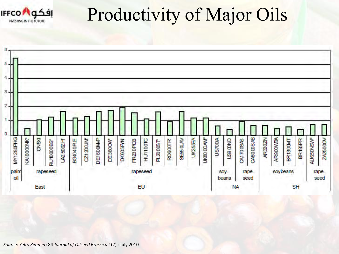

# Productivity of Major Oils

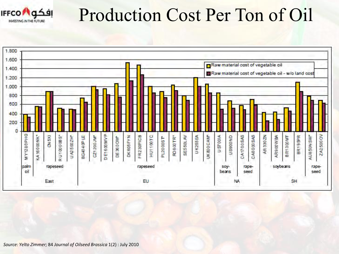

## Production Cost Per Ton of Oil

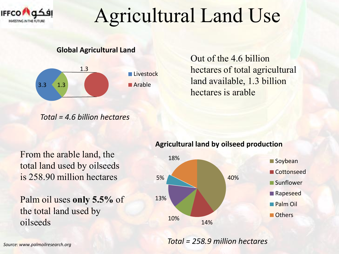

# Agricultural Land Use

**Global Agricultural Land**



Out of the 4.6 billion hectares of total agricultural land available, 1.3 billion hectares is arable

*Total = 4.6 billion hectares* 

From the arable land, the total land used by oilseeds is 258.90 million hectares

Palm oil uses **only 5.5%** of the total land used by oilseeds

#### **Agricultural land by oilseed production**



*Total = 258.9 million hectares*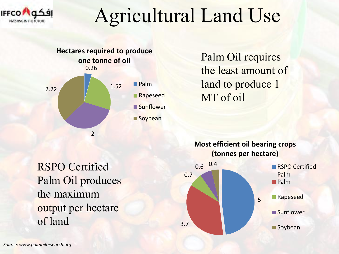

# Agricultural Land Use



Palm Oil requires the least amount of land to produce 1 MT of oil

RSPO Certified Palm Oil produces the maximum output per hectare of land

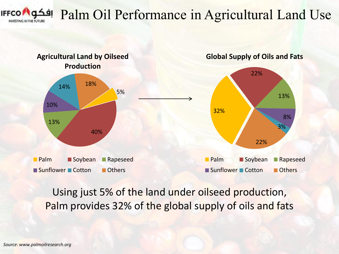

### Palm Oil Performance in Agricultural Land Use



### Using just 5% of the land under oilseed production, Palm provides 32% of the global supply of oils and fats

*Source: www.palmoilresearch.org*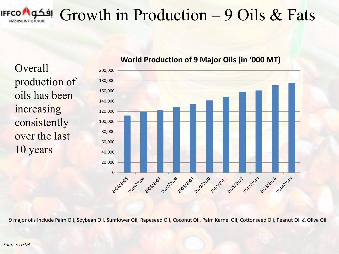

## Growth in Production – 9 Oils & Fats

**Overall** production of oils has been increasing consistently over the last 10 years



### **World Production of 9 Major Oils (in '000 MT)**

9 major oils include Palm Oil, Soybean Oil, Sunflower Oil, Rapeseed Oil, Coconut Oil, Palm Kernel Oil, Cottonseed Oil, Peanut Oil & Olive Oil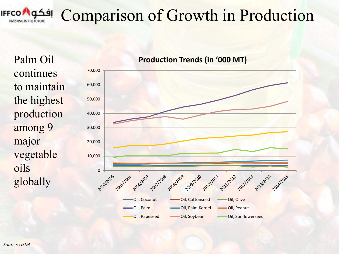

## Comparison of Growth in Production

Palm Oil continues to maintain the highest production among 9 major vegetable oils globally

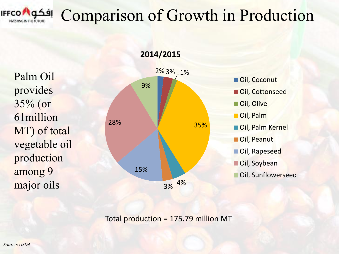

## Comparison of Growth in Production

**2014/2015**

Palm Oil provides 35% (or 61million MT) of total vegetable oil production among 9 major oils



Oil, Coconut Oil, Cottonseed Oil, Olive ■ Oil, Palm ■ Oil, Palm Kernel ■ Oil, Peanut **Oil, Rapeseed** Oil, Soybean **Oil, Sunflowerseed** 

Total production = 175.79 million MT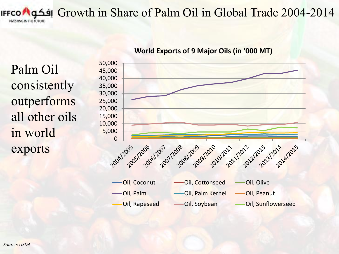Growth in Share of Palm Oil in Global Trade 2004-2014 INVESTING IN THE FUTURE

Palm Oil consistently outperforms all other oils in world exports



#### **World Exports of 9 Major Oils (in '000 MT)**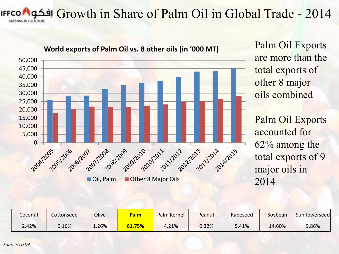Growth in Share of Palm Oil in Global Trade - 2014 INVESTING IN THE FUTURE



Palm Oil Exports are more than the total exports of other 8 major oils combined

Palm Oil Exports accounted for 62% among the total exports of 9 major oils in 2014

| Coconut | Cottonseed | Olive | Palm   | Palm Kernel | Peanut | Rapeseed | Soybean | Sunflowerseed |
|---------|------------|-------|--------|-------------|--------|----------|---------|---------------|
| 2.42%   | 0.16%      | 1.26% | 61.75% | 4.21%       | 0.32%  | 5.41%    | 14.60%  | 9.86%         |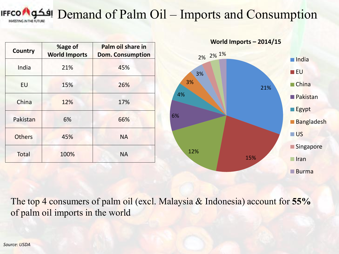#### Demand of Palm Oil – Imports and Consumption **TING IN THE FUTURE**

|                | %age of              | Palm oil share in       |          | World Imports $-2014/15$ |                      |
|----------------|----------------------|-------------------------|----------|--------------------------|----------------------|
| <b>Country</b> | <b>World Imports</b> | <b>Dom. Consumption</b> | 2% 2% 1% |                          | $\blacksquare$ India |
| India          | 21%                  | 45%                     | 3%       |                          | $\blacksquare$ EU    |
| EU             | 15%                  | 26%                     | 3%       | 21%                      | $\blacksquare$ China |
| China          | 12%                  | 17%                     | 4%       |                          | <b>Pakistan</b>      |
|                |                      |                         |          |                          | $\Box$ Egypt         |
| Pakistan       | 6%                   | 66%                     | 6%       |                          | <b>Bangladesh</b>    |
| <b>Others</b>  | 45%                  | <b>NA</b>               |          |                          | $\Box$ US            |
|                |                      |                         | 12%      |                          | Singapore            |
| Total          | 100%                 | <b>NA</b>               |          | 15%                      | $\blacksquare$ Iran  |
|                |                      |                         |          |                          | Burna                |

The top 4 consumers of palm oil (excl. Malaysia & Indonesia) account for **55%**  of palm oil imports in the world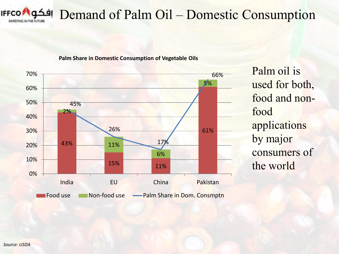

### Demand of Palm Oil – Domestic Consumption





Palm oil is used for both, food and nonfood applications by major consumers of the world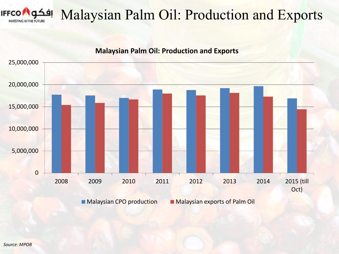

### Malaysian Palm Oil: Production and Exports



**Malaysian CPO production Malaysian exports of Palm Oil**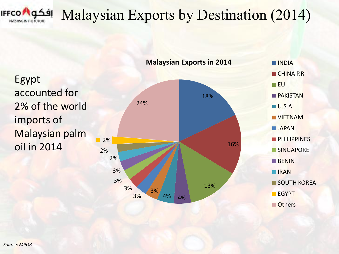

## Malaysian Exports by Destination (2014)

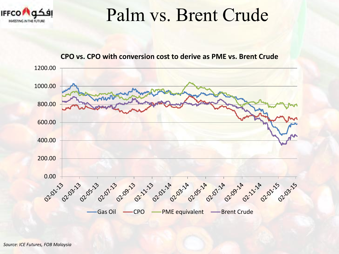

## Palm vs. Brent Crude



#### **CPO vs. CPO with conversion cost to derive as PME vs. Brent Crude**

*Source: ICE Futures, FOB Malaysia*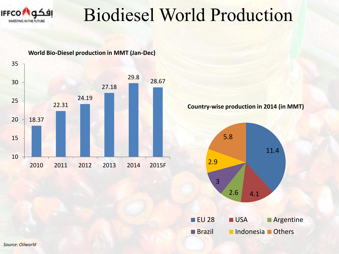

## Biodiesel World Production



**Country-wise production in 2014 (in MMT)**

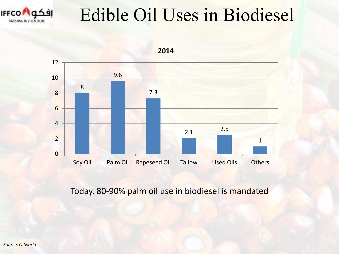

## Edible Oil Uses in Biodiesel



Today, 80-90% palm oil use in biodiesel is mandated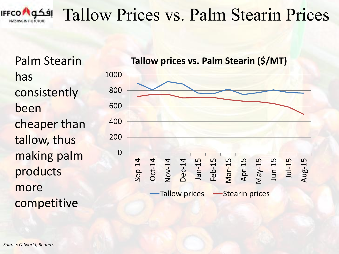

## Tallow Prices vs. Palm Stearin Prices

Palm Stearin has consistently been cheaper than tallow, thus making palm products more competitive

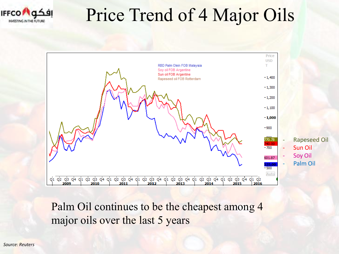

## Price Trend of 4 Major Oils



Palm Oil continues to be the cheapest among 4 major oils over the last 5 years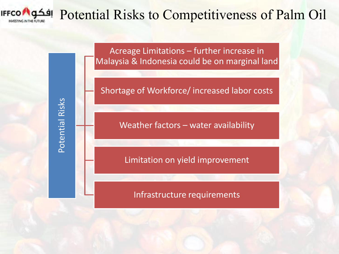

Potential Risks

Potential Risks

### Potential Risks to Competitiveness of Palm Oil

Acreage Limitations – further increase in Malaysia & Indonesia could be on marginal land

Shortage of Workforce/ increased labor costs

Weather factors – water availability

Limitation on yield improvement

Infrastructure requirements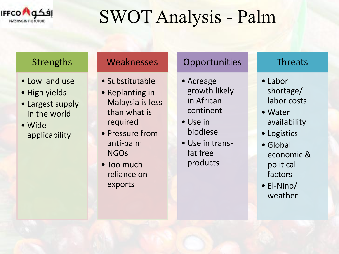

# SWOT Analysis - Palm

### **Strengths**

- Low land use
- High yields
- Largest supply in the world
- Wide applicability

### **Weaknesses**

- Substitutable
- Replanting in Malaysia is less than what is required
- Pressure from anti-palm NGOs
- Too much reliance on exports

### **Opportunities**

- Acreage growth likely in African continent
- Use in biodiesel
- Use in transfat free products

### Threats

- Labor shortage/ labor costs
- Water availability
- Logistics
- Global economic & political factors
- El-Nino/ weather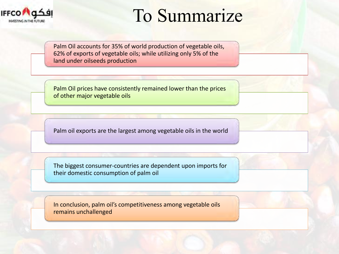

## To Summarize

Palm Oil accounts for 35% of world production of vegetable oils, 62% of exports of vegetable oils; while utilizing only 5% of the land under oilseeds production

Palm Oil prices have consistently remained lower than the prices of other major vegetable oils

Palm oil exports are the largest among vegetable oils in the world

The biggest consumer-countries are dependent upon imports for their domestic consumption of palm oil

In conclusion, palm oil's competitiveness among vegetable oils remains unchallenged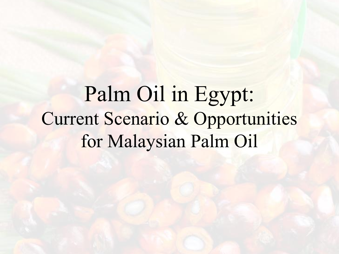Palm Oil in Egypt: Current Scenario & Opportunities for Malaysian Palm Oil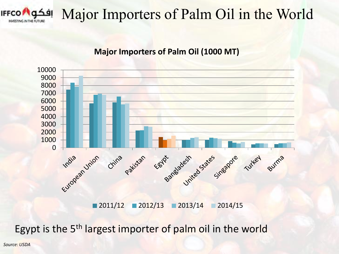

## Major Importers of Palm Oil in the World

### **Major Importers of Palm Oil (1000 MT)**



2011/12 2012/13 2013/14 2014/15

Egypt is the 5<sup>th</sup> largest importer of palm oil in the world

*Source: USDA*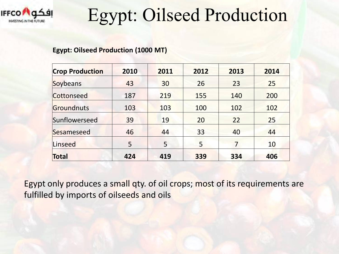

## Egypt: Oilseed Production

#### **Egypt: Oilseed Production (1000 MT)**

| <b>Crop Production</b> | 2010 | 2011 | 2012 | 2013 | 2014 |
|------------------------|------|------|------|------|------|
| Soybeans               | 43   | 30   | 26   | 23   | 25   |
| Cottonseed             | 187  | 219  | 155  | 140  | 200  |
| Groundnuts             | 103  | 103  | 100  | 102  | 102  |
| Sunflowerseed          | 39   | 19   | 20   | 22   | 25   |
| Sesameseed             | 46   | 44   | 33   | 40   | 44   |
| Linseed                | 5    | 5    | 5    | 7    | 10   |
| Total                  | 424  | 419  | 339  | 334  | 406  |

Egypt only produces a small qty. of oil crops; most of its requirements are fulfilled by imports of oilseeds and oils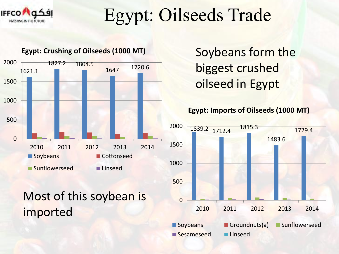

Egypt: Oilseeds Trade



### Most of this soybean is imported

Soybeans form the biggest crushed oilseed in Egypt



Sesameseed Linseed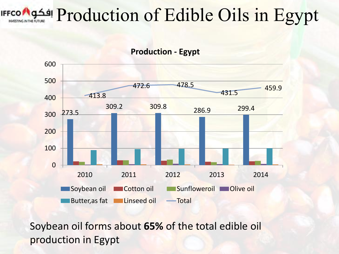## Production of Edible Oils in Egypt



Soybean oil forms about **65%** of the total edible oil production in Egypt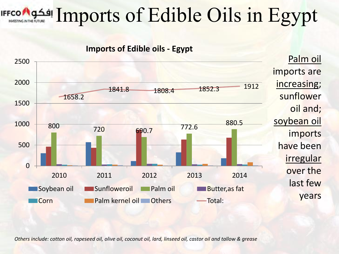# Imports of Edible Oils in Egypt



*Others include: cotton oil, rapeseed oil, olive oil, coconut oil, lard, linseed oil, castor oil and tallow & grease*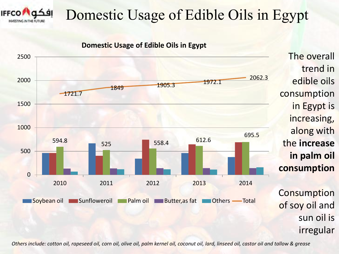

## Domestic Usage of Edible Oils in Egypt

The overall

edible oils

in Egypt is

increasing,

along with

**in palm oil** 

the **increase** 

**consumption** 

**Consumption** 

of soy oil and

sun oil is

irregular

consumption

trend in

**Domestic Usage of Edible Oils in Egypt**



*Others include: cotton oil, rapeseed oil, corn oil, olive oil, palm kernel oil, coconut oil, lard, linseed oil, castor oil and tallow & grease*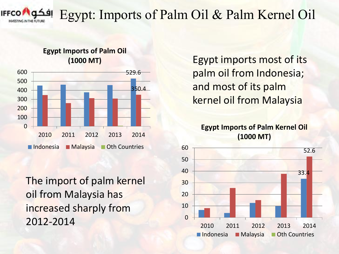

### Egypt: Imports of Palm Oil & Palm Kernel Oil

### **Egypt Imports of Palm Oil (1000 MT)**



The import of palm kernel oil from Malaysia has increased sharply from 2012-2014

Egypt imports most of its palm oil from Indonesia; and most of its palm kernel oil from Malaysia

**Egypt Imports of Palm Kernel Oil (1000 MT)**

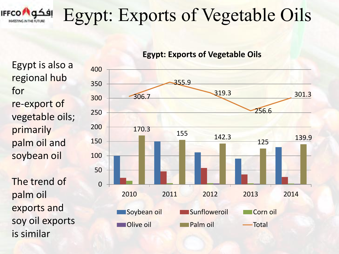

## Egypt: Exports of Vegetable Oils

Egypt is also a regional hub for re-export of vegetable oils; primarily palm oil and soybean oil

The trend of palm oil exports and soy oil exports is similar

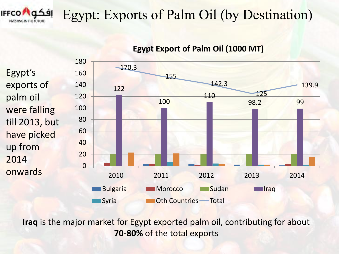

### Egypt: Exports of Palm Oil (by Destination)

Egypt's exports of palm oil were falling till 2013, but have picked up from 2014 onwards



### **Egypt Export of Palm Oil (1000 MT)**

**Iraq** is the major market for Egypt exported palm oil, contributing for about **70-80%** of the total exports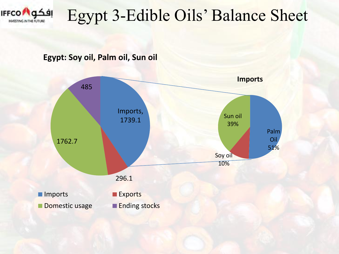

## Egypt 3-Edible Oils' Balance Sheet

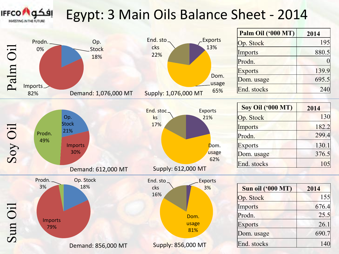

### Egypt: 3 Main Oils Balance Sheet - 2014

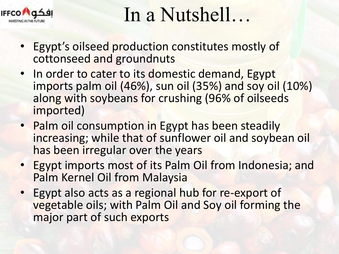

# In a Nutshell…

- Egypt's oilseed production constitutes mostly of cottonseed and groundnuts
- In order to cater to its domestic demand, Egypt imports palm oil (46%), sun oil (35%) and soy oil (10%) along with soybeans for crushing (96% of oilseeds imported)
- Palm oil consumption in Egypt has been steadily increasing; while that of sunflower oil and soybean oil has been irregular over the years
- Egypt imports most of its Palm Oil from Indonesia; and Palm Kernel Oil from Malaysia
- Egypt also acts as a regional hub for re-export of vegetable oils; with Palm Oil and Soy oil forming the major part of such exports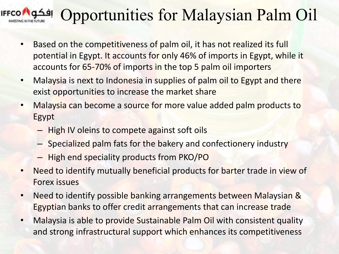

## Opportunities for Malaysian Palm Oil

- Based on the competitiveness of palm oil, it has not realized its full potential in Egypt. It accounts for only 46% of imports in Egypt, while it accounts for 65-70% of imports in the top 5 palm oil importers
- Malaysia is next to Indonesia in supplies of palm oil to Egypt and there exist opportunities to increase the market share
- Malaysia can become a source for more value added palm products to Egypt
	- High IV oleins to compete against soft oils
	- Specialized palm fats for the bakery and confectionery industry
	- High end speciality products from PKO/PO
- Need to identify mutually beneficial products for barter trade in view of Forex issues
- Need to identify possible banking arrangements between Malaysian & Egyptian banks to offer credit arrangements that can increase trade
- Malaysia is able to provide Sustainable Palm Oil with consistent quality and strong infrastructural support which enhances its competitiveness